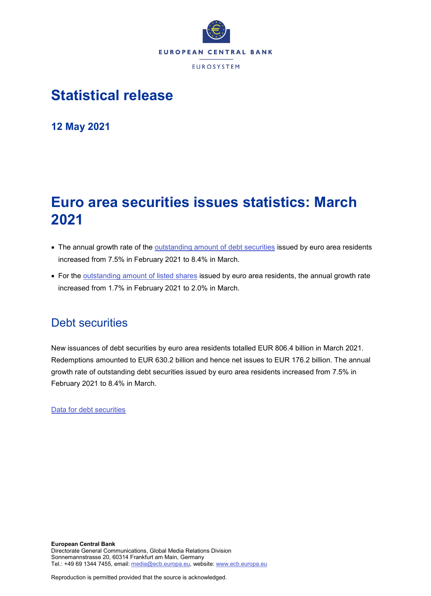

## **Statistical release**

**12 May 2021**

# **Euro area securities issues statistics: March 2021**

- The annual growth rate of the [outstanding amount of debt securities](http://sdw.ecb.europa.eu/quickview.do?SERIES_KEY=130.SEC.M.I8.1000.F33000.N.I.Z01.A.Z) issued by euro area residents increased from 7.5% in February 2021 to 8.4% in March.
- For the [outstanding amount of listed shares](http://sdw.ecb.europa.eu/quickview.do?SERIES_KEY=130.SEC.M.I8.1000.F51100.M.I.Z01.A.Z) issued by euro area residents, the annual growth rate increased from 1.7% in February 2021 to 2.0% in March.

### Debt securities

New issuances of debt securities by euro area residents totalled EUR 806.4 billion in March 2021. Redemptions amounted to EUR 630.2 billion and hence net issues to EUR 176.2 billion. The annual growth rate of outstanding debt securities issued by euro area residents increased from 7.5% in February 2021 to 8.4% in March.

[Data for debt securities](http://sdw.ecb.europa.eu/browseSelection.do?type=series&q=SEC.M.I8.1000.F33000.N.2.Z01.E.Z%2c+SEC.M.I8.1000.F33000.N.3.Z01.E.Z%2c+SEC.M.I8.1000.F33000.N.4.Z01.E.Z%2c+SEC.M.I8.1000.F33000.N.I.Z01.A.Z&node=SEARCHRESULTS&ec=&oc=&rc=&cv=&pb=&dc=&df=)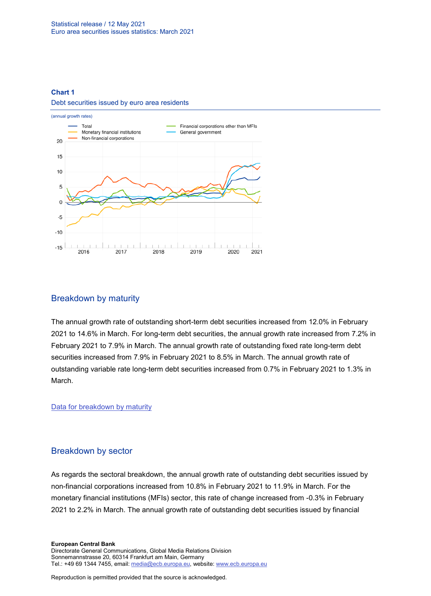#### **Chart 1**

#### Debt securities issued by euro area residents



#### Breakdown by maturity

The annual growth rate of outstanding short-term debt securities increased from 12.0% in February 2021 to 14.6% in March. For long-term debt securities, the annual growth rate increased from 7.2% in February 2021 to 7.9% in March. The annual growth rate of outstanding fixed rate long-term debt securities increased from 7.9% in February 2021 to 8.5% in March. The annual growth rate of outstanding variable rate long-term debt securities increased from 0.7% in February 2021 to 1.3% in March.

[Data for breakdown by maturity](http://sdw.ecb.europa.eu/browseSelection.do?type=series&q=SEC.M.I8.1000.F33100.N.I.Z01.A.Z%2c+SEC.M.I8.1000.F33200.N.I.Z01.A.Z%2c+SEC.M.I8.1000.F33201.N.I.Z01.A.Z%2c+SEC.M.I8.1000.F33202.N.I.Z01.A.Z&node=SEARCHRESULTS&ec=&oc=&rc=&cv=&pb=&dc=&df=)

#### Breakdown by sector

As regards the sectoral breakdown, the annual growth rate of outstanding debt securities issued by non-financial corporations increased from 10.8% in February 2021 to 11.9% in March. For the monetary financial institutions (MFIs) sector, this rate of change increased from -0.3% in February 2021 to 2.2% in March. The annual growth rate of outstanding debt securities issued by financial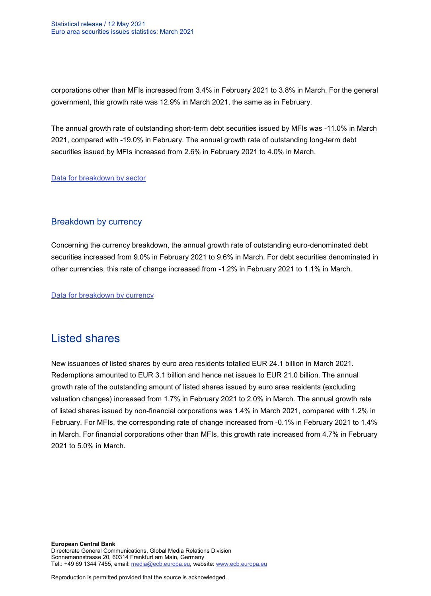corporations other than MFIs increased from 3.4% in February 2021 to 3.8% in March. For the general government, this growth rate was 12.9% in March 2021, the same as in February.

The annual growth rate of outstanding short-term debt securities issued by MFIs was -11.0% in March 2021, compared with -19.0% in February. The annual growth rate of outstanding long-term debt securities issued by MFIs increased from 2.6% in February 2021 to 4.0% in March.

[Data for breakdown by sector](http://sdw.ecb.europa.eu/browseSelection.do?type=series&q=SEC.M.I8.1100.F33000.N.I.Z01.A.Z%2cSEC.M.I8.1220.F33000.N.I.Z01.A.Z%2cSEC.M.I8.1235.F33000.N.I.Z01.A.Z%2cSEC.M.I8.1300.F33000.N.I.Z01.A.Z%2cSEC.M.I8.1220.F33100.N.I.Z01.A.Z%2cSEC.M.I8.1220.F33200.N.I.Z01.A.Z&node=SEARCHRESULTS&ec=&oc=&rc=&cv=&pb=&dc=&df=)

#### Breakdown by currency

Concerning the currency breakdown, the annual growth rate of outstanding euro-denominated debt securities increased from 9.0% in February 2021 to 9.6% in March. For debt securities denominated in other currencies, this rate of change increased from -1.2% in February 2021 to 1.1% in March.

[Data for breakdown by currency](http://sdw.ecb.europa.eu/browseSelection.do?type=series&q=SEC.M.I8.1000.F33000.N.I.EUR.A.Z%2cSEC.M.I8.1000.F33000.N.I.Z06.A.Z&node=SEARCHRESULTS&ec=&oc=&rc=&cv=&pb=&dc=&df=)

### Listed shares

New issuances of listed shares by euro area residents totalled EUR 24.1 billion in March 2021. Redemptions amounted to EUR 3.1 billion and hence net issues to EUR 21.0 billion. The annual growth rate of the outstanding amount of listed shares issued by euro area residents (excluding valuation changes) increased from 1.7% in February 2021 to 2.0% in March. The annual growth rate of listed shares issued by non-financial corporations was 1.4% in March 2021, compared with 1.2% in February. For MFIs, the corresponding rate of change increased from -0.1% in February 2021 to 1.4% in March. For financial corporations other than MFIs, this growth rate increased from 4.7% in February 2021 to 5.0% in March.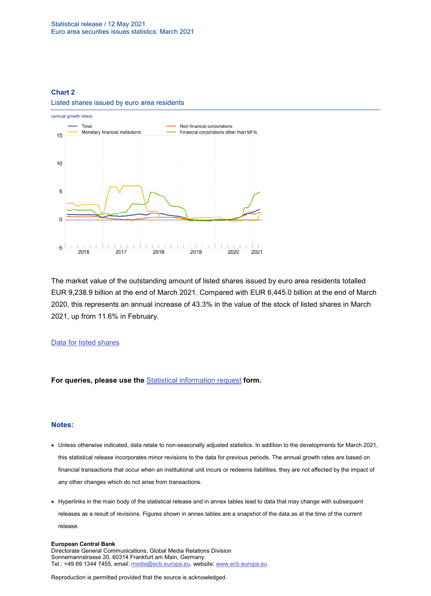#### **Chart 2**

#### Listed shares issued by euro area residents



The market value of the outstanding amount of listed shares issued by euro area residents totalled EUR 9,238.9 billion at the end of March 2021. Compared with EUR 6,445.0 billion at the end of March 2020, this represents an annual increase of 43.3% in the value of the stock of listed shares in March 2021, up from 11.6% in February.

#### [Data for listed shares](http://sdw.ecb.europa.eu/browseSelection.do?type=series&q=SEC.M.I8.1000.F51100.M.2.Z01.E.Z%2cSEC.M.I8.1000.F51100.M.3.Z01.E.Z%2cSEC.M.I8.1000.F51100.M.4.Z01.E.Z%2cSEC.M.I8.1000.F51100.M.I.Z01.A.Z%2cSEC.M.I8.1100.F51100.M.I.Z01.A.Z%2cSEC.M.I8.1220.F51100.M.I.Z01.A.Z%2cSEC.M.I8.1235.F51100.M.I.Z01.A.Z%2cSEC.M.I8.1000.F51100.M.1.Z01.E.Z&node=SEARCHRESULTS&ec=&oc=&rc=&cv=&pb=&dc=&df=)

**For queries, please use the** [Statistical information request](https://ecb-registration.escb.eu/statistical-information) **form.**

#### **Notes:**

- Unless otherwise indicated, data relate to non-seasonally adjusted statistics. In addition to the developments for March 2021, this statistical release incorporates minor revisions to the data for previous periods. The annual growth rates are based on financial transactions that occur when an institutional unit incurs or redeems liabilities, they are not affected by the impact of any other changes which do not arise from transactions.
- Hyperlinks in the main body of the statistical release and in annex tables lead to data that may change with subsequent releases as a result of revisions. Figures shown in annex tables are a snapshot of the data as at the time of the current release.

#### **European Central Bank**

Directorate General Communications, Global Media Relations Division Sonnemannstrasse 20, 60314 Frankfurt am Main, Germany Tel.: +49 69 1344 7455, email[: media@ecb.europa.eu,](mailto:media@ecb.europa.eu) website[: www.ecb.europa.eu](https://darwin.escb.eu/livelinkdav/nodes/16022696/www.ecb.europa.eu)

Reproduction is permitted provided that the source is acknowledged.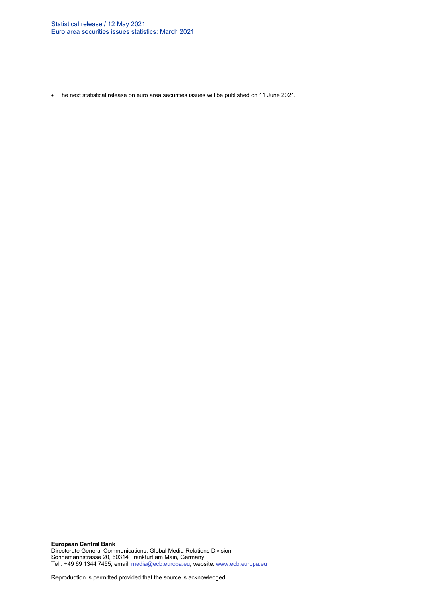• The next statistical release on euro area securities issues will be published on 11 June 2021.

**European Central Bank** Directorate General Communications, Global Media Relations Division Sonnemannstrasse 20, 60314 Frankfurt am Main, Germany Tel.: +49 69 1344 7455, email[: media@ecb.europa.eu,](mailto:media@ecb.europa.eu) website[: www.ecb.europa.eu](https://darwin.escb.eu/livelinkdav/nodes/16022696/www.ecb.europa.eu)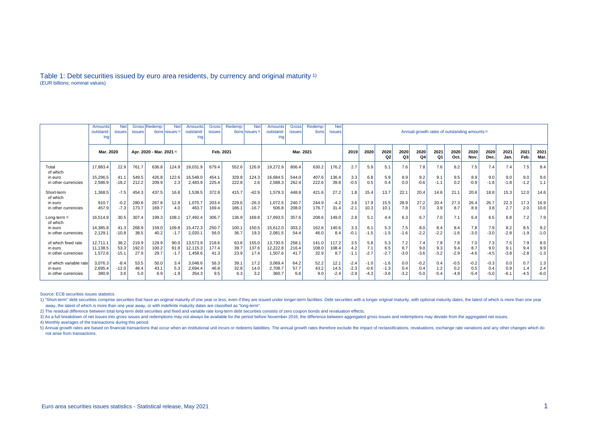#### Table 1: Debt securities issued by euro area residents, by currency and original maturity 1) (EUR billions; nominal values)

|                          | Gross Redemp-<br><b>Net</b><br><b>Net</b><br>Amounts<br>outstand<br>issues<br>tions lissues <sup>3</sup><br><b>issues</b><br>ing |         |                          |       |        | Amounts<br>outstand-<br>ing | Gross<br><b>issues</b> | Redemp- | <b>Net</b><br>tions issues <sup>3</sup> | <b>Amounts</b><br>outstand-<br>ına | <b>Gross</b><br>issues | Redemp-<br>tions | <b>Net</b><br><b>issues</b> | Annual growth rates of outstanding amounts <sup>5)</sup> |            |            |            |            |              |              |              |              |              |              |        |
|--------------------------|----------------------------------------------------------------------------------------------------------------------------------|---------|--------------------------|-------|--------|-----------------------------|------------------------|---------|-----------------------------------------|------------------------------------|------------------------|------------------|-----------------------------|----------------------------------------------------------|------------|------------|------------|------------|--------------|--------------|--------------|--------------|--------------|--------------|--------|
|                          | Mar. 2020                                                                                                                        |         | Apr. 2020 - Mar. 2021 4) |       |        | Feb. 2021                   |                        |         | Mar. 2021                               |                                    |                        |                  | 2019                        | 2020                                                     | 2020<br>Q2 | 2020<br>Q3 | 2020<br>Q4 | 2021<br>Q1 | 2020<br>Oct. | 2020<br>Nov. | 2020<br>Dec. | 2021<br>Jan. | 2021<br>Feb. | 2021<br>Mar. |        |
| Total<br>of which        | 17.883.4                                                                                                                         | 22.9    | 761.7                    | 636.8 | 124.9  | 19,031.9                    | 679.4                  | 552.6   | 126.9                                   | 19,272.9                           | 806.4                  | 630.2            | 176.2                       | 2.7                                                      | 5.9        | 5.1        | 7.6        | 7.8        | 7.6          | 8.2          | 7.5          | 7.4          | 7.4          | 7.5          | 8.4    |
| in euro                  | 15.296.5                                                                                                                         | 41.1    | 549.5                    | 426.8 | 122.6  | 16,548.0                    | 454.1                  | 329.8   | 124.3                                   | 16,684.5                           | 544.0                  | 407.6            | 136.4                       | 3.3                                                      | 6.8        | 5.9        | 8.9        | 9.2        | 9.1          | 9.5          | 8.9          | 9.0          | 9.0          | 9.0          | 9.6    |
| in other currencies      | 2.586.9                                                                                                                          | $-18.2$ | 212.2                    | 209.9 | 2.3    | 2,483.9                     | 225.4                  | 222.8   | 2.6                                     | 2,588.3                            | 262.4                  | 222.6            | 39.8                        | $-0.5$                                                   | 0.5        | 0.4        | 0.0        | $-0.6$     | $-1.1$       | 0.2          | $-0.9$       | $-1.8$       | $-1.8$       | $-1.2$       | 1.1    |
| Short-term<br>of which   | 1.368.5                                                                                                                          | $-7.5$  | 454.3                    | 437.5 | 16.8   | 1,539.5                     | 372.8                  | 415.7   | $-42.9$                                 | 1,579.3                            | 448.8                  | 421.6            | 27.2                        | 1.8                                                      | 15.4       | 13.7       | 22.1       | 20.4       | 14.6         | 21.1         | 20.6         | 18.8         | 15.3         | 12.0         | 14.6   |
| in euro                  | 910.7                                                                                                                            | $-0.2$  | 280.6                    | 267.8 | 12.8   | 1,075.7                     | 203.4                  | 229.6   | $-26.3$                                 | 1,072.5                            | 240.7                  | 244.9            | $-4.2$                      | 3.6                                                      | 17.9       | 15.5       | 28.9       | 27.2       | 20.4         | 27.3         | 26.4         | 26.7         | 22.3         | 17.3         | 16.9   |
| in other currencies      | 457.9                                                                                                                            | $-7.3$  | 173.7                    | 169.7 | 4.0    | 463.7                       | 169.4                  | 186.1   | $-16.7$                                 | 506.8                              | 208.0                  | 176.7            | 31.4                        | $-2.1$                                                   | 10.3       | 10.1       | 7.8        | 7.0        | 3.9          | 8.7          | 8.9          | 3.8          | 2.7          | 2.0          | 10.6   |
| Long-term 2)<br>of which | 16.514.9                                                                                                                         | 30.5    | 307.4                    | 199.3 | 108.1  | 17.492.4                    | 306.7                  | 136.9   | 169.8                                   | 17,693.5                           | 357.6                  | 208.6            | 149.0                       | 2.8                                                      | 5.1        | 4.4        | 6.3        | 6.7        | 7.0          | 7.1          | 6.4          | 6.5          | 6.8          | 7.2          | 7.9    |
| in euro                  | 14.385.8                                                                                                                         | 41.3    | 268.9                    | 159.0 | 109.8  | 15,472.3                    | 250.7                  | 100.1   | 150.5                                   | 15,612.0                           | 303.2                  | 162.6            | 140.6                       | 3.3                                                      | 6.1        | 5.3        | 7.5        | 8.0        | 8.4          | 8.4          | 7.8          | 7.9          | 8.2          | 8.5          | 9.2    |
| in other currencies      | 2.129.1                                                                                                                          | $-10.8$ | 38.5                     | 40.2  | $-1.7$ | 2,020.1                     | 56.0                   | 36.7    | 19.3                                    | 2,081.5                            | 54.4                   | 46.0             | 8.4                         | $-0.1$                                                   | $-1.5$     | $-1.5$     | $-1.6$     | $-2.2$     | $-2.2$       | $-1.6$       | $-3.0$       | $-3.0$       | $-2.8$       | $-1.9$       | $-1.0$ |
| of which fixed rate      | 12.711.1                                                                                                                         | 38.2    | 219.9                    | 129.9 | 90.0   | 13,573.9                    | 218.6                  | 63.6    | 155.0                                   | 13.730.5                           | 258.1                  | 141.0            | 117.2                       | 3.5                                                      | 5.8        | 5.3        | 7.2        | 7.4        | 7.8          | 7.8          | 7.0          | 7.3          | 7.5          | 7.9          | 8.5    |
| in euro                  | 11.138.5                                                                                                                         | 53.3    | 192.0                    | 100.2 | 91.8   | 12,115.3                    | 177.4                  | 39.7    | 137.6                                   | 12,222.8                           | 216.4                  | 108.0            | 108.4                       | 4.2                                                      | 7.1        | 6.5        | 8.7        | 9.0        | 9.3          | 9.4          | 8.7          | 9.0          | 9.1          | 9.4          | 9.9    |
| in other currencies      | 1,572.6                                                                                                                          | $-15.1$ | 27.9                     | 29.7  | $-1.7$ | 1,458.6                     | 41.3                   | 23.9    | 17.4                                    | 1,507.6                            | 41.7                   | 32.9             | 8.7                         | $-1.1$                                                   | $-2.7$     | $-2.7$     | $-3.0$     | $-3.6$     | $-3.2$       | $-2.9$       | $-4.6$       | $-4.5$       | $-3.8$       | $-2.8$       | $-1.3$ |
| of which variable rate   | 3.076.3                                                                                                                          | $-8.4$  | 53.5                     | 50.0  | 3.4    | 3,048.6                     | 56.3                   | 39.7    | 17.2                                    | 3,069.4                            | 64.2                   | 52.2             | 12.1                        | $-2.4$                                                   | $-1.0$     | $-1.6$     | 0.0        | $-0.2$     | 0.4          | $-0.5$       | $-0.2$       | $-0.3$       | 0.0          | 0.7          | 1.3    |
| in euro                  | 2,695.4                                                                                                                          | $-12.0$ | 48.4                     | 43.1  | 5.3    | 2,694.4                     | 46.8                   | 32.8    | 14.0                                    | 2,708.7                            | 57.7                   | 43.2             | 14.5                        | $-2.3$                                                   | $-0.6$     | $-1.3$     | 0.4        | 0.4        | 1.2          | 0.2          | 0.5          | 0.4          | 0.9          | 1.4          | 2.4    |
| in other currencies      | 380.9                                                                                                                            | 3.6     | 5.0                      | 6.9   | $-1.9$ | 354.3                       | 9.5                    | 6.3     | 3.2                                     | 360.7                              | 6.6                    | 9.0              | $-2.4$                      | $-2.9$                                                   | $-4.3$     | $-3.6$     | $-3.2$     | $-5.0$     | $-5.4$       | $-4.9$       | $-5.4$       | $-5.0$       | -6.1         | $-4.5$       | $-6.0$ |

Source: ECB securities issues statistics.

1) "Short-term" debt securities comprise securities that have an original maturity of one year or less, even if they are issued under longer-term facilities. Debt securities with a longer original maturity, with optional m away, the latest of which is more than one year away, or with indefinite maturity dates are classified as "long-term".

2) The residual difference between total long-term debt securities and fixed and variable rate long-term debt securities consists of zero coupon bonds and revaluation effects.

3) As a full breakdown of net issues into gross issues and redemptions may not always be available for the period before November 2016, the difference between aggregated gross issues and redemptions may deviate from the ag

4) Monthly averages of the transactions during this period.

5) Annual growth rates are based on financial transactions that occur when an institutional unit incurs or redeems liabilities. The annual growth rates therefore exclude the impact of reclassifications, revaluations, excha not arise from transactions.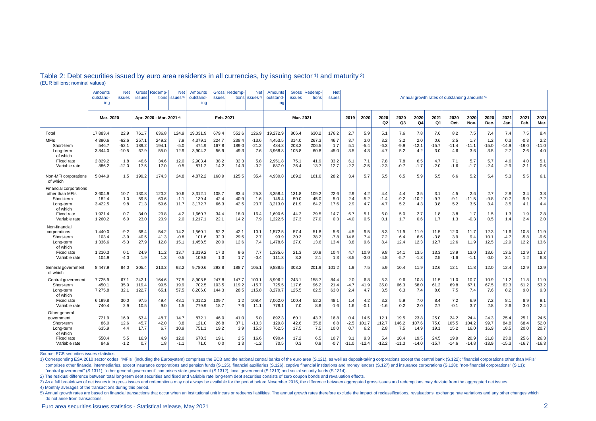|                                                                                         | Amounts<br>outstand-<br>ing | <b>Net</b><br>issues          | Gross<br>issues          | Redemp-<br>tions       | <b>Net</b><br>issues <sup>3</sup> | Amounts<br>outstand<br>ing  | <b>Gross</b><br><b>issues</b> | Redemp                 | <b>Net</b><br>tions issues <sup>3</sup> | Amounts<br>outstand-<br>ing | <b>Gross</b><br><b>issues</b> | <b>Redemp</b><br>tions | <b>Net</b><br><b>issues</b> | Annual growth rates of outstanding amounts <sup>5)</sup> |                        |                      |                      |                       |                        |                       |                       |                       |                        |                          |                        |
|-----------------------------------------------------------------------------------------|-----------------------------|-------------------------------|--------------------------|------------------------|-----------------------------------|-----------------------------|-------------------------------|------------------------|-----------------------------------------|-----------------------------|-------------------------------|------------------------|-----------------------------|----------------------------------------------------------|------------------------|----------------------|----------------------|-----------------------|------------------------|-----------------------|-----------------------|-----------------------|------------------------|--------------------------|------------------------|
|                                                                                         | Mar. 2020                   |                               | Apr. 2020 - Mar. 2021 4) |                        |                                   | Feb. 2021                   |                               |                        | Mar. 2021                               |                             |                               |                        | 2019                        | 2020                                                     | 2020<br>Q <sub>2</sub> | 2020<br>Q3           | 2020<br>Q4           | 2021<br>Q1            | 2020<br>Oct.           | 2020<br>Nov.          | 2020<br>Dec.          | 2021<br>Jan.          | 2021<br>Feb.           | 2021<br>Mar.             |                        |
| Total                                                                                   | 17.883.4                    | 22.9                          | 761.7                    | 636.8                  | 124.9                             | 19.031.9                    | 679.4                         | 552.6                  | 126.9                                   | 19.272.9                    | 806.4                         | 630.2                  | 176.2                       | 2.7                                                      | 5.9                    | 5.1                  | 7.6                  | 7.8                   | 7.6                    | 8.2                   | 7.5                   | 7.4                   | 7.4                    | 7.5                      | 8.4                    |
| <b>MFIs</b><br>Short-term<br>Long-term<br>of which                                      | 4,390.6<br>546.7<br>3.844.0 | $-62.6$<br>$-52.1$<br>$-10.5$ | 257.1<br>189.2<br>67.9   | 249.2<br>194.1<br>55.0 | 7.9<br>$-5.0$<br>12.9             | 4,379.7<br>474.9<br>3,904.2 | 224.7<br>167.8<br>56.9        | 238.4<br>189.0<br>49.3 | $-13.6$<br>$-21.2$<br>7.6               | 4,453.5<br>484.8<br>3,968.8 | 314.0<br>208.2<br>105.8       | 267.3<br>206.5<br>60.8 | 46.7<br>1.7<br>45.0         | 3.7<br>5.1<br>3.5                                        | 3.0<br>$-5.4$<br>4.3   | 3.2<br>$-6.3$<br>4.7 | 3.2<br>$-9.9$<br>5.2 | 2.0<br>$-12.1$<br>4.2 | 0.6<br>$-15.7$<br>3.0  | 2.5<br>$-11.4$<br>4.6 | 1.7<br>$-11.1$<br>3.6 | 1.2<br>$-15.0$<br>3.5 | 0.3<br>$-14.9$<br>2.7  | $-0.3$<br>$-19.0$<br>2.6 | 2.2<br>$-11.0$<br>4.0  |
| Fixed rate<br>Variable rate                                                             | 2.829.2<br>886.2            | 1.8<br>$-12.0$                | 46.6<br>17.5             | 34.6<br>17.0           | 12.0<br>0.5                       | 2,903.4<br>871.2            | 38.2<br>14.2                  | 32.3<br>14.3           | 5.8<br>$-0.2$                           | 2,951.8<br>887.0            | 75.7<br>26.4                  | 41.9<br>13.7           | 33.2<br>12.7                | 6.1<br>$-2.2$                                            | 7.1<br>$-2.5$          | 7.8<br>$-2.3$        | 7.8<br>$-0.7$        | 6.5<br>$-1.7$         | 4.7<br>$-2.0$          | 7.1<br>$-1.6$         | 5.7<br>$-1.7$         | 5.7<br>$-2.4$         | 4.6<br>$-2.9$          | 4.0<br>$-2.1$            | 5.1<br>0.6             |
| Non-MFI corporations<br>of which                                                        | 5.044.9                     | 1.5                           | 199.2                    | 174.3                  | 24.8                              | 4,872.2                     | 160.9                         | 125.5                  | 35.4                                    | 4,930.8                     | 189.2                         | 161.0                  | 28.2                        | 3.4                                                      | 5.7                    | 5.5                  | 6.5                  | 5.9                   | 5.5                    | 6.6                   | 5.2                   | 5.4                   | 5.3                    | 5.5                      | 6.1                    |
| <b>Financial corporations</b><br>other than MFIs<br>Short-term<br>Long-term<br>of which | 3,604.9<br>182.4<br>3,422.5 | 10.7<br>1.0<br>9.8            | 130.8<br>59.5<br>71.3    | 120.2<br>60.6<br>59.6  | 10.6<br>$-1.1$<br>11.7            | 3,312.1<br>139.4<br>3,172.7 | 108.7<br>42.4<br>66.3         | 83.4<br>40.9<br>42.5   | 25.3<br>1.6<br>23.7                     | 3,358.4<br>145.4<br>3,213.0 | 131.8<br>50.0<br>81.9         | 109.2<br>45.0<br>64.2  | 22.6<br>5.0<br>17.6         | 2.9<br>2.4<br>2.9                                        | 4.2<br>$-5.2$<br>4.7   | 4.4<br>$-1.4$<br>4.7 | 4.4<br>$-9.2$<br>5.2 | 3.5<br>$-10.2$<br>4.3 | 3.1<br>$-9.7$<br>3.8   | 4.5<br>$-9.1$<br>5.2  | 2.6<br>$-11.5$<br>3.5 | 2.7<br>$-9.8$<br>3.4  | 2.8<br>$-10.7$<br>3.5  | 3.4<br>$-9.9$<br>4.1     | 3.8<br>$-7.2$<br>4.4   |
| <b>Fixed rate</b><br>Variable rate                                                      | 1,921.4<br>1,260.2          | 0.7<br>6.0                    | 34.0<br>23.0             | 29.8<br>20.9           | 4.2<br>2.0                        | 1,660.7<br>1,217.1          | 34.4<br>22.1                  | 18.0<br>14.2           | 16.4<br>7.9                             | 1,690.6<br>1,222.5          | 44.2<br>27.3                  | 29.5<br>27.0           | 14.7<br>0.3                 | 6.7<br>$-4.0$                                            | 5.1<br>0.5             | 6.0<br>0.1           | 5.0<br>1.7           | 2.7<br>0.6            | 1.8<br>1.7             | 3.8<br>1.3            | 1.7<br>$-0.3$         | 1.5<br>0.5            | 1.3<br>1.4             | 1.9<br>2.4               | 2.8<br>2.0             |
| Non-financial<br>corporations<br>Short-term<br>Long-term<br>of which                    | 1.440.0<br>103.4<br>1.336.6 | $-9.2$<br>$-3.9$<br>$-5.3$    | 68.4<br>40.5<br>27.9     | 54.2<br>41.3<br>12.8   | 14.2<br>$-0.8$<br>15.1            | 1.560.1<br>101.6<br>1,458.5 | 52.2<br>32.3<br>20.0          | 42.1<br>29.5<br>12.6   | 10.1<br>2.7<br>7.4                      | 1.572.5<br>93.9<br>1,478.6  | 57.4<br>30.3<br>27.0          | 51.8<br>38.2<br>13.6   | 5.6<br>$-7.8$<br>13.4       | 4.5<br>14.6<br>3.8                                       | 9.5<br>7.4<br>9.6      | 8.3<br>7.2<br>8.4    | 11.9<br>6.4<br>12.4  | 11.9<br>6.6<br>12.3   | 11.5<br>$-3.8$<br>12.7 | 12.0<br>3.9<br>12.6   | 11.7<br>9.4<br>11.9   | 12.3<br>10.1<br>12.5  | 11.6<br>$-4.7$<br>12.9 | 10.8<br>$-5.8$<br>12.2   | 11.9<br>$-9.6$<br>13.6 |
| Fixed rate<br>Variable rate                                                             | 1,210.3<br>104.9            | 0.1<br>$-4.0$                 | 24.9<br>1.9              | 11.2<br>1.3            | 13.7<br>0.5                       | 1,319.2<br>109.5            | 17.3<br>1.3                   | 9.6<br>1.7             | 7.7<br>$-0.4$                           | 1,335.6<br>111.3            | 21.3<br>3.3                   | 10.9<br>2.1            | 10.4<br>1.3                 | 4.7<br>$-3.5$                                            | 10.9<br>$-3.0$         | 9.8<br>$-4.8$        | 14.1<br>$-5.7$       | 13.5<br>$-1.3$        | 13.3<br>2.5            | 13.9<br>$-1.6$        | 13.0<br>$-1.1$        | 13.6<br>0.0           | 13.5<br>3.1            | 12.9<br>1.2              | 13.7<br>6.3            |
| General government<br>of which                                                          | 8,447.9                     | 84.0                          | 305.4                    | 213.3                  | 92.2                              | 9,780.6                     | 293.8                         | 188.7                  | 105.1                                   | 9,888.5                     | 303.2                         | 201.9                  | 101.2                       | 1.9                                                      | 7.5                    | 5.9                  | 10.4                 | 11.9                  | 12.6                   | 12.1                  | 11.8                  | 12.0                  | 12.4                   | 12.9                     | 12.9                   |
| Central government<br>Short-term<br>Long-term<br>of which                               | 7,725.9<br>450.1<br>7,275.8 | 67.1<br>35.0<br>32.1          | 242.1<br>119.4<br>122.7  | 164.6<br>99.5<br>65.1  | 77.5<br>19.9<br>57.5              | 8,908.5<br>702.5<br>8,206.0 | 247.8<br>103.5<br>144.3       | 147.7<br>119.2<br>28.5 | 100.1<br>$-15.7$<br>115.8               | 8,996.2<br>725.5<br>8,270.7 | 243.1<br>117.6<br>125.5       | 158.7<br>96.2<br>62.5  | 84.4<br>21.4<br>63.0        | 2.0<br>-4.7<br>2.4                                       | 6.8<br>41.9<br>4.7     | 5.3<br>35.0<br>3.5   | 9.6<br>66.3<br>6.3   | 10.8<br>68.0<br>7.4   | 11.5<br>61.2<br>8.6    | 11.0<br>69.8<br>7.5   | 10.7<br>67.1<br>7.4   | 10.9<br>67.5<br>7.6   | 11.2<br>62.3<br>8.2    | 11.8<br>61.2<br>9.0      | 11.9<br>53.2<br>9.3    |
| <b>Fixed rate</b><br>Variable rate                                                      | 6,199.8<br>740.4            | 30.0<br>2.9                   | 97.5<br>10.5             | 49.4<br>9.0            | 48.1<br>1.5                       | 7,012.2<br>779.9            | 109.7<br>18.7                 | 1.2<br>7.6             | 108.4<br>11.1                           | 7,062.0<br>778.1            | 100.4<br>7.0                  | 52.2<br>8.6            | 48.1<br>$-1.6$              | 1.4<br>1.6                                               | 4.2<br>$-0.1$          | 3.2<br>$-1.6$        | 5.9<br>0.2           | 7.0<br>2.0            | 8.4<br>2.7             | 7.2<br>$-0.1$         | 6.9<br>3.7            | 7.2<br>2.8            | 8.1<br>2.6             | 8.9<br>3.0               | 9.1<br>2.4             |
| Other genera<br>government<br>Short-term<br>Long-term<br>of which                       | 721.9<br>86.0<br>635.9      | 16.9<br>12.6<br>4.4           | 63.4<br>45.7<br>17.7     | 48.7<br>42.0<br>6.7    | 14.7<br>3.8<br>10.9               | 872.1<br>121.0<br>751.1     | 46.0<br>26.8<br>19.2          | 41.0<br>37.1<br>3.9    | 5.0<br>$-10.3$<br>15.3                  | 892.3<br>129.8<br>762.5     | 60.1<br>42.6<br>17.5          | 43.3<br>35.8<br>7.5    | 16.8<br>6.8<br>10.0         | 0.4<br>$-2.5$<br>0.7                                     | 14.5<br>101.7<br>6.2   | 12.1<br>112.7<br>2.8 | 19.5<br>146.2<br>7.5 | 23.8<br>107.6<br>14.9 | 25.0<br>75.0<br>19.1   | 24.2<br>105.5<br>15.2 | 24.4<br>104.2<br>16.0 | 24.3<br>99.7<br>16.9  | 25.4<br>84.8<br>18.5   | 25.7<br>68.4<br>20.0     | 24.5<br>52.0<br>20.7   |
| Fixed rate<br>Variable rate                                                             | 550.4<br>84.6               | 5.5<br>$-1.2$                 | 16.9<br>0.7              | 4.9<br>1.8             | 12.0<br>$-1.1$                    | 678.3<br>71.0               | 19.1<br>0.0                   | 2.5<br>1.3             | 16.6<br>$-1.2$                          | 690.4<br>70.5               | 17.2<br>0.3                   | 6.5<br>0.9             | 10.7<br>$-0.7$              | 3.1<br>$-11.0$                                           | 9.3<br>$-12.4$         | 5.4<br>$-12.2$       | 10.4<br>$-11.3$      | 19.5<br>$-14.0$       | 24.5<br>$-15.7$        | 19.9<br>$-14.6$       | 20.9<br>$-14.8$       | 21.8<br>$-13.9$       | 23.8<br>$-15.3$        | 25.6<br>$-16.7$          | 26.3<br>$-16.3$        |

#### Table 2: Debt securities issued by euro area residents in all currencies, by issuing sector 1) and maturity 2) (EUR billions; nominal values)

Source: ECB securities issues statistics.

1) Corresponding ESA 2010 sector codes: "MFIs" (including the Eurosystem) comprises the ECB and the national central banks of the euro area (S.121), as well as deposit-taking corporations except the central bank (S.122); " comprises other financial intermediaries, except insurance corporations and pension funds (S.125), financial auxiliaries (S.126), captive financial institutions and money lenders (S.127) and insurance corporations (S.128); "central government" (S.1311); "other general government" comprises state government (S.1312), local government (S.1313) and social security funds (S.1314).

2) The residual difference between total long-term debt securities and fixed and variable rate long-term debt securities consists of zero coupon bonds and revaluation effects.

3) As a full breakdown of net issues into gross issues and redemptions may not always be available for the period before November 2016, the difference between aggregated gross issues and redemptions may deviate from the ag

4) Monthly averages of the transactions during this period.

5) Annual growth rates are based on financial transactions that occur when an institutional unit incurs or redeems liabilities. The annual growth rates therefore exclude the impact of reclassifications, revaluations, excha do not arise from transactions.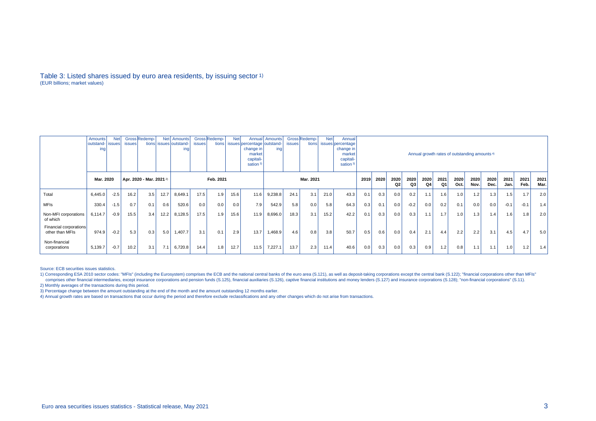#### Table 3: Listed shares issued by euro area residents, by issuing sector 1) (EUR billions; market values)

|                                           | Amounts<br>outstand-   issues  <br>ing | <b>Net</b> | <b>issues</b> | Gross Redemp-<br>tions   |      | Net Amounts<br>issues outstand-<br>ing | <i>issues</i> | Gross Redemp-<br>tions | <b>Net</b> | issues percentage outstand-<br>change in!<br>market<br>capitali-<br>sation <sup>3)</sup> | Annual   Amounts<br>ina | <i>issues</i> | Gross Redemp-<br>tions | <b>Net</b> | Annual<br>issues percentage<br>change in<br>market<br>capitali-<br>sation <sup>3)</sup> | Annual growth rates of outstanding amounts <sup>4)</sup> |            |                        |              |              |              |              |              |              |        |        |     |
|-------------------------------------------|----------------------------------------|------------|---------------|--------------------------|------|----------------------------------------|---------------|------------------------|------------|------------------------------------------------------------------------------------------|-------------------------|---------------|------------------------|------------|-----------------------------------------------------------------------------------------|----------------------------------------------------------|------------|------------------------|--------------|--------------|--------------|--------------|--------------|--------------|--------|--------|-----|
|                                           | Mar. 2020                              |            |               | Apr. 2020 - Mar. 2021 2) |      |                                        |               | Mar. 2021              |            |                                                                                          |                         |               |                        | 2020       | 2020<br>Q2                                                                              | 2020<br>Q3                                               | 2020<br>Q4 | 2021<br>Q <sub>1</sub> | 2020<br>Oct. | 2020<br>Nov. | 2020<br>Dec. | 2021<br>Jan. | 2021<br>Feb. | 2021<br>Mar. |        |        |     |
| Total                                     | 6,445.0                                | $-2.5$     | 16.2          | 3.5                      | 12.7 | 8,649.1                                | 17.5          | 1.9                    | 15.6       | 11.6                                                                                     | 9,238.8                 | 24.1          | 3.1                    | 21.0       | 43.3                                                                                    | 0.1                                                      | 0.3        | 0.0                    | 0.2          | 1.1          | 1.6          | 1.0          | 1.2          | 1.3          | 1.5    | 1.7    | 2.0 |
| <b>MFIs</b>                               | 330.4                                  | $-1.5$     | 0.7           | 0.1                      | 0.6  | 520.6                                  | 0.0           | 0.0                    | 0.0        | 7.9                                                                                      | 542.9                   | 5.8           | 0.0                    | 5.8        | 64.3                                                                                    | 0.3                                                      | 0.1        | 0.0                    | $-0.2$       | 0.0          | 0.2          | 0.1          | 0.0          | 0.0          | $-0.1$ | $-0.1$ | 1.4 |
| Non-MFI corporations<br>of which          | 6,114.7                                | $-0.9$     | 15.5          | 3.4                      | 12.2 | 8,128.5                                | 17.5          | 1.9                    | 15.6       | 11.9                                                                                     | 8,696.0                 | 18.3          | 3.1                    | 15.2       | 42.2                                                                                    | 0.1                                                      | 0.3        | 0.0                    | 0.3          | 1.1          | 1.7          | 1.0          | 1.3          | 1.4          | 1.6    | 1.8    | 2.0 |
| Financial corporations<br>other than MFIs | 974.9                                  | $-0.2$     | 5.3           | 0.3                      | 5.0  | 1,407.7                                | 3.1           | 0.1                    | 2.9        | 13.7                                                                                     | 468.9                   | 4.6           | 0.8                    | 3.8        | 50.7                                                                                    | 0.5                                                      | 0.6        | 0.0                    | 0.4          | 2.1          | 4.4          | 2.2          | 2.2          | 3.1          | 4.5    | 4.7    | 5.0 |
| Non-financial<br>corporations             | 5,139.7                                | $-0.7$     | 10.2          | 3.1                      | 7.1  | 6,720.8                                | 14.4          | 1.8                    | 12.7       | 11.5                                                                                     | 7,227.1                 | 13.7          | 2.3 <sub>1</sub>       | 11.4       | 40.6                                                                                    | 0.0                                                      | 0.3        | 0.0                    | 0.3          | 0.9          | 1.2          | 0.8          | 1.1          | 44<br>.      | 1.0    | 1.2    | 1.4 |

Source: ECB securities issues statistics.

1) Corresponding ESA 2010 sector codes: "MFIs" (including the Eurosystem) comprises the ECB and the national central banks of the euro area (S.121), as well as deposit-taking corporations except the central bank (S.122); " comprises other financial intermediaries, except insurance corporations and pension funds (S.125), financial auxiliaries (S.126), captive financial institutions and money lenders (S.127) and insurance corporations (S.129); 2) Monthly averages of the transactions during this period.

3) Percentage change between the amount outstanding at the end of the month and the amount outstanding 12 months earlier.

4) Annual growth rates are based on transactions that occur during the period and therefore exclude reclassifications and any other changes which do not arise from transactions.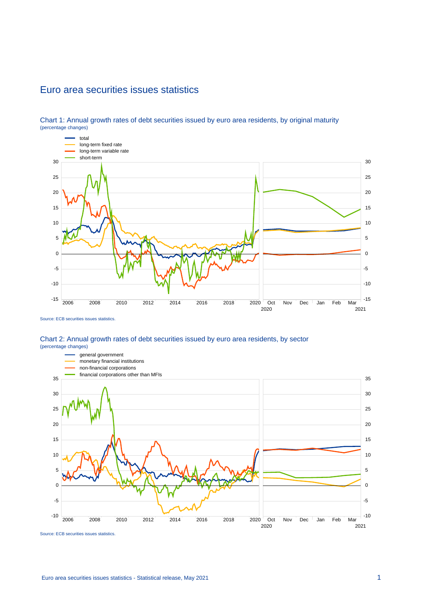### Euro area securities issues statistics



Chart 1: Annual growth rates of debt securities issued by euro area residents, by original maturity (percentage changes)

#### Chart 2: Annual growth rates of debt securities issued by euro area residents, by sector (percentage changes)



Source: ECB securities issues statistics.

Source: ECB securities issues statistics.